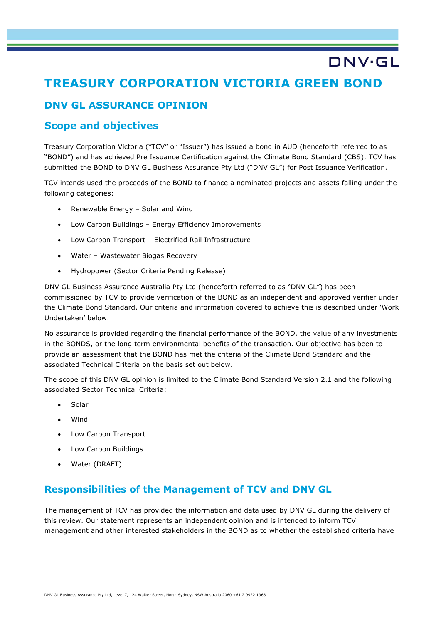# **TREASURY CORPORATION VICTORIA GREEN BOND**

DNV·GL

## **DNV GL ASSURANCE OPINION**

## **Scope and objectives**

Treasury Corporation Victoria ("TCV" or "Issuer") has issued a bond in AUD (henceforth referred to as "BOND") and has achieved Pre Issuance Certification against the Climate Bond Standard (CBS). TCV has submitted the BOND to DNV GL Business Assurance Pty Ltd ("DNV GL") for Post Issuance Verification.

TCV intends used the proceeds of the BOND to finance a nominated projects and assets falling under the following categories:

- Renewable Energy Solar and Wind
- Low Carbon Buildings Energy Efficiency Improvements
- Low Carbon Transport Electrified Rail Infrastructure
- Water Wastewater Biogas Recovery
- Hydropower (Sector Criteria Pending Release)

DNV GL Business Assurance Australia Pty Ltd (henceforth referred to as "DNV GL") has been commissioned by TCV to provide verification of the BOND as an independent and approved verifier under the Climate Bond Standard. Our criteria and information covered to achieve this is described under 'Work Undertaken' below.

No assurance is provided regarding the financial performance of the BOND, the value of any investments in the BONDS, or the long term environmental benefits of the transaction. Our objective has been to provide an assessment that the BOND has met the criteria of the Climate Bond Standard and the associated Technical Criteria on the basis set out below.

The scope of this DNV GL opinion is limited to the Climate Bond Standard Version 2.1 and the following associated Sector Technical Criteria:

- Solar
- Wind
- Low Carbon Transport
- Low Carbon Buildings
- Water (DRAFT)

### **Responsibilities of the Management of TCV and DNV GL**

The management of TCV has provided the information and data used by DNV GL during the delivery of this review. Our statement represents an independent opinion and is intended to inform TCV management and other interested stakeholders in the BOND as to whether the established criteria have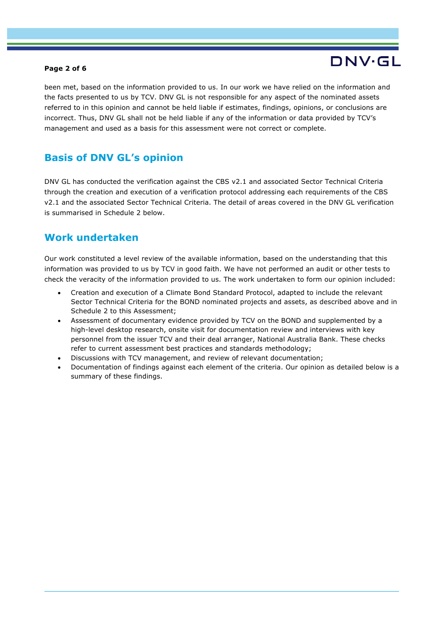#### **Page 2 of 6**

# DNV·GL

been met, based on the information provided to us. In our work we have relied on the information and the facts presented to us by TCV. DNV GL is not responsible for any aspect of the nominated assets referred to in this opinion and cannot be held liable if estimates, findings, opinions, or conclusions are incorrect. Thus, DNV GL shall not be held liable if any of the information or data provided by TCV's management and used as a basis for this assessment were not correct or complete.

## **Basis of DNV GL's opinion**

DNV GL has conducted the verification against the CBS v2.1 and associated Sector Technical Criteria through the creation and execution of a verification protocol addressing each requirements of the CBS v2.1 and the associated Sector Technical Criteria. The detail of areas covered in the DNV GL verification is summarised in Schedule 2 below.

## **Work undertaken**

Our work constituted a level review of the available information, based on the understanding that this information was provided to us by TCV in good faith. We have not performed an audit or other tests to check the veracity of the information provided to us. The work undertaken to form our opinion included:

- Creation and execution of a Climate Bond Standard Protocol, adapted to include the relevant Sector Technical Criteria for the BOND nominated projects and assets, as described above and in Schedule 2 to this Assessment;
- Assessment of documentary evidence provided by TCV on the BOND and supplemented by a high-level desktop research, onsite visit for documentation review and interviews with key personnel from the issuer TCV and their deal arranger, National Australia Bank. These checks refer to current assessment best practices and standards methodology;
- Discussions with TCV management, and review of relevant documentation;
- Documentation of findings against each element of the criteria. Our opinion as detailed below is a summary of these findings.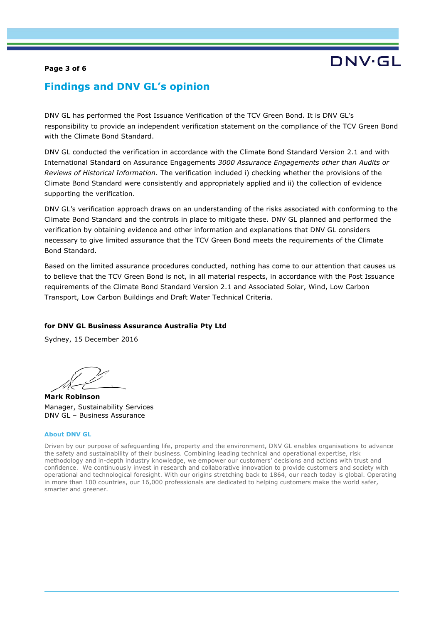#### **Page 3 of 6**

### **Findings and DNV GL's opinion**

DNV GL has performed the Post Issuance Verification of the TCV Green Bond. It is DNV GL's responsibility to provide an independent verification statement on the compliance of the TCV Green Bond with the Climate Bond Standard.

DNV GL conducted the verification in accordance with the Climate Bond Standard Version 2.1 and with International Standard on Assurance Engagements *3000 Assurance Engagements other than Audits or Reviews of Historical Information*. The verification included i) checking whether the provisions of the Climate Bond Standard were consistently and appropriately applied and ii) the collection of evidence supporting the verification.

DNV GL's verification approach draws on an understanding of the risks associated with conforming to the Climate Bond Standard and the controls in place to mitigate these. DNV GL planned and performed the verification by obtaining evidence and other information and explanations that DNV GL considers necessary to give limited assurance that the TCV Green Bond meets the requirements of the Climate Bond Standard.

Based on the limited assurance procedures conducted, nothing has come to our attention that causes us to believe that the TCV Green Bond is not, in all material respects, in accordance with the Post Issuance requirements of the Climate Bond Standard Version 2.1 and Associated Solar, Wind, Low Carbon Transport, Low Carbon Buildings and Draft Water Technical Criteria.

#### **for DNV GL Business Assurance Australia Pty Ltd**

Sydney, 15 December 2016

**Mark Robinson** Manager, Sustainability Services DNV GL – Business Assurance

#### **About DNV GL**

Driven by our purpose of safeguarding life, property and the environment, DNV GL enables organisations to advance the safety and sustainability of their business. Combining leading technical and operational expertise, risk methodology and in-depth industry knowledge, we empower our customers' decisions and actions with trust and confidence. We continuously invest in research and collaborative innovation to provide customers and society with operational and technological foresight. With our origins stretching back to 1864, our reach today is global. Operating in more than 100 countries, our 16,000 professionals are dedicated to helping customers make the world safer, smarter and greener.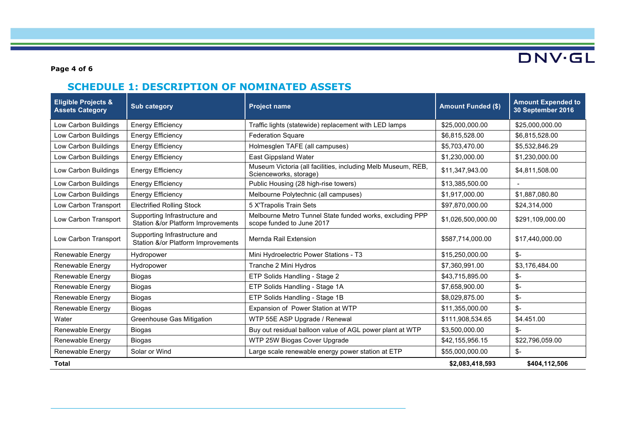

**Page 4 of 6**

# **SCHEDULE 1: DESCRIPTION OF NOMINATED ASSETS**

| <b>Eligible Projects &amp;</b><br><b>Assets Category</b> | <b>Sub category</b>                                                 | <b>Project name</b>                                                                    | <b>Amount Funded (\$)</b> | <b>Amount Expended to</b><br>30 September 2016 |
|----------------------------------------------------------|---------------------------------------------------------------------|----------------------------------------------------------------------------------------|---------------------------|------------------------------------------------|
| Low Carbon Buildings                                     | <b>Energy Efficiency</b>                                            | Traffic lights (statewide) replacement with LED lamps                                  | \$25,000,000.00           | \$25,000,000.00                                |
| Low Carbon Buildings                                     | <b>Energy Efficiency</b>                                            | <b>Federation Square</b>                                                               | \$6,815,528.00            | \$6,815,528.00                                 |
| Low Carbon Buildings                                     | <b>Energy Efficiency</b>                                            | Holmesglen TAFE (all campuses)                                                         | \$5,703,470.00            | \$5,532,846.29                                 |
| Low Carbon Buildings                                     | <b>Energy Efficiency</b>                                            | <b>East Gippsland Water</b>                                                            | \$1,230,000.00            | \$1,230,000.00                                 |
| Low Carbon Buildings                                     | <b>Energy Efficiency</b>                                            | Museum Victoria (all facilities, including Melb Museum, REB,<br>Scienceworks, storage) | \$11,347,943.00           | \$4,811,508.00                                 |
| Low Carbon Buildings                                     | <b>Energy Efficiency</b>                                            | Public Housing (28 high-rise towers)                                                   | \$13,385,500.00           |                                                |
| Low Carbon Buildings                                     | <b>Energy Efficiency</b>                                            | Melbourne Polytechnic (all campuses)                                                   | \$1,917,000.00            | \$1,887,080.80                                 |
| Low Carbon Transport                                     | <b>Electrified Rolling Stock</b>                                    | 5 X'Trapolis Train Sets                                                                | \$97,870,000.00           | \$24,314,000                                   |
| Low Carbon Transport                                     | Supporting Infrastructure and<br>Station &/or Platform Improvements | Melbourne Metro Tunnel State funded works, excluding PPP<br>scope funded to June 2017  | \$1,026,500,000.00        | \$291,109,000.00                               |
| Low Carbon Transport                                     | Supporting Infrastructure and<br>Station &/or Platform Improvements | Mernda Rail Extension                                                                  | \$587,714,000.00          | \$17,440,000.00                                |
| Renewable Energy                                         | Hydropower                                                          | Mini Hydroelectric Power Stations - T3                                                 | \$15,250,000.00           | \$-                                            |
| Renewable Energy                                         | Hydropower                                                          | Tranche 2 Mini Hydros                                                                  | \$7,360,991.00            | \$3,176,484.00                                 |
| Renewable Energy                                         | Biogas                                                              | ETP Solids Handling - Stage 2                                                          | \$43,715,895.00           | \$-                                            |
| Renewable Energy                                         | <b>Biogas</b>                                                       | ETP Solids Handling - Stage 1A                                                         | \$7,658,900.00            | \$-                                            |
| Renewable Energy                                         | Biogas                                                              | ETP Solids Handling - Stage 1B                                                         | \$8,029,875.00            | \$-                                            |
| Renewable Energy                                         | Biogas                                                              | Expansion of Power Station at WTP                                                      | \$11,355,000.00           | $S-$                                           |
| Water                                                    | <b>Greenhouse Gas Mitigation</b>                                    | WTP 55E ASP Upgrade / Renewal                                                          | \$111,908,534.65          | \$4.451.00                                     |
| Renewable Energy                                         | <b>Biogas</b>                                                       | Buy out residual balloon value of AGL power plant at WTP                               | \$3,500,000.00            | \$-                                            |
| Renewable Energy                                         | Biogas                                                              | WTP 25W Biogas Cover Upgrade                                                           | \$42,155,956.15           | \$22,796,059.00                                |
| Renewable Energy                                         | Solar or Wind                                                       | Large scale renewable energy power station at ETP                                      | \$55,000,000.00           | \$-                                            |
| Total                                                    |                                                                     |                                                                                        | \$2,083,418,593           | \$404,112,506                                  |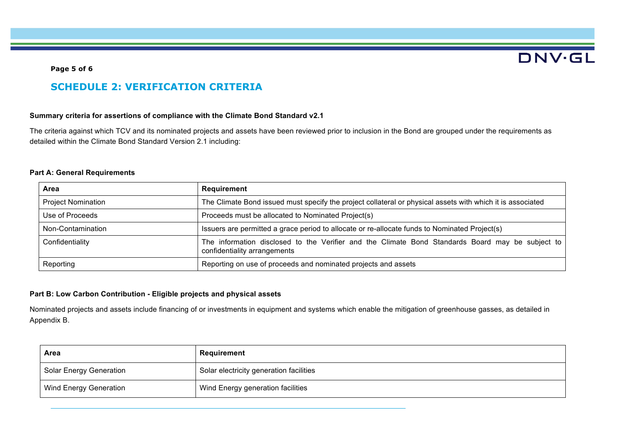# **DNV·GL**

### **Page 5 of 6**

## **SCHEDULE 2: VERIFICATION CRITERIA**

#### **Summary criteria for assertions of compliance with the Climate Bond Standard v2.1**

The criteria against which TCV and its nominated projects and assets have been reviewed prior to inclusion in the Bond are grouped under the requirements as detailed within the Climate Bond Standard Version 2.1 including:

#### **Part A: General Requirements**

| Area                      | Requirement                                                                                                                      |  |
|---------------------------|----------------------------------------------------------------------------------------------------------------------------------|--|
| <b>Project Nomination</b> | The Climate Bond issued must specify the project collateral or physical assets with which it is associated                       |  |
| Use of Proceeds           | Proceeds must be allocated to Nominated Project(s)                                                                               |  |
| Non-Contamination         | Issuers are permitted a grace period to allocate or re-allocate funds to Nominated Project(s)                                    |  |
| Confidentiality           | The information disclosed to the Verifier and the Climate Bond Standards Board may be subject to<br>confidentiality arrangements |  |
| Reporting                 | Reporting on use of proceeds and nominated projects and assets                                                                   |  |

### **Part B: Low Carbon Contribution - Eligible projects and physical assets**

Nominated projects and assets include financing of or investments in equipment and systems which enable the mitigation of greenhouse gasses, as detailed in Appendix B.

| Area                          | Requirement                             |
|-------------------------------|-----------------------------------------|
| Solar Energy Generation       | Solar electricity generation facilities |
| <b>Wind Energy Generation</b> | Wind Energy generation facilities       |